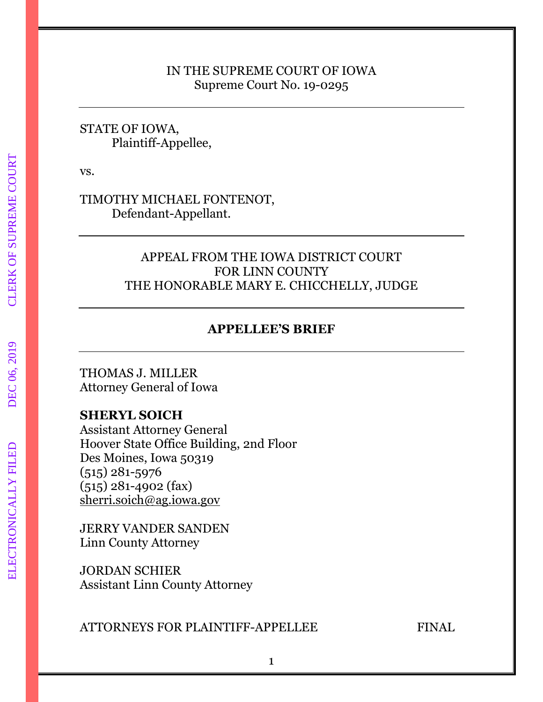## IN THE SUPREME COURT OF IOWA Supreme Court No. 19-0295

## STATE OF IOWA, Plaintiff-Appellee,

vs.

TIMOTHY MICHAEL FONTENOT, Defendant-Appellant.

## APPEAL FROM THE IOWA DISTRICT COURT FOR LINN COUNTY THE HONORABLE MARY E. CHICCHELLY, JUDGE

## **APPELLEE'S BRIEF**

THOMAS J. MILLER Attorney General of Iowa

## **SHERYL SOICH**

Assistant Attorney General Hoover State Office Building, 2nd Floor Des Moines, Iowa 50319 (515) 281-5976 (515) 281-4902 (fax) [sherri.soich@ag.iowa.gov](mailto:sherri.soich@ag.iowa.gov)

JERRY VANDER SANDEN Linn County Attorney

JORDAN SCHIER Assistant Linn County Attorney

## ATTORNEYS FOR PLAINTIFF-APPELLEE FINAL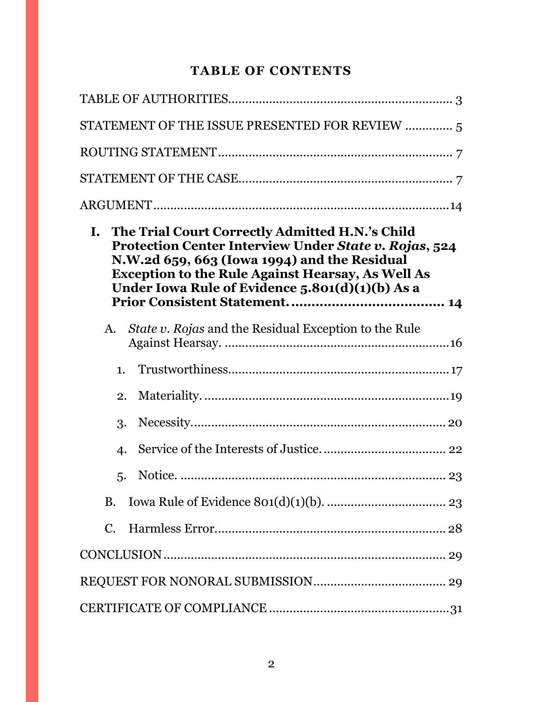# **TABLE OF CONTENTS**

| STATEMENT OF THE ISSUE PRESENTED FOR REVIEW  5                                                                                                                                                                                                                             |
|----------------------------------------------------------------------------------------------------------------------------------------------------------------------------------------------------------------------------------------------------------------------------|
|                                                                                                                                                                                                                                                                            |
|                                                                                                                                                                                                                                                                            |
|                                                                                                                                                                                                                                                                            |
| I. The Trial Court Correctly Admitted H.N.'s Child<br>Protection Center Interview Under State v. Rojas, 524<br>N.W.2d 659, 663 (Iowa 1994) and the Residual<br><b>Exception to the Rule Against Hearsay, As Well As</b><br>Under Iowa Rule of Evidence 5.801(d)(1)(b) As a |
| <i>State v. Rojas</i> and the Residual Exception to the Rule<br>A.                                                                                                                                                                                                         |
| 1.                                                                                                                                                                                                                                                                         |
| 2.                                                                                                                                                                                                                                                                         |
| 3.                                                                                                                                                                                                                                                                         |
| 4.                                                                                                                                                                                                                                                                         |
| 5.                                                                                                                                                                                                                                                                         |
| <b>B.</b>                                                                                                                                                                                                                                                                  |
| $C_{\cdot}$                                                                                                                                                                                                                                                                |
|                                                                                                                                                                                                                                                                            |
|                                                                                                                                                                                                                                                                            |
|                                                                                                                                                                                                                                                                            |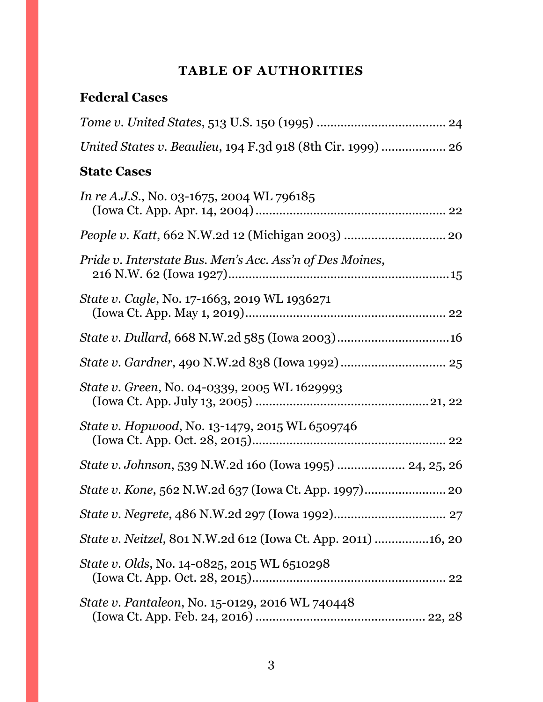# **TABLE OF AUTHORITIES**

# <span id="page-2-0"></span>**Federal Cases**

| <b>State Cases</b>                                           |
|--------------------------------------------------------------|
| <i>In re A.J.S.</i> , No. 03-1675, 2004 WL 796185            |
|                                                              |
| Pride v. Interstate Bus. Men's Acc. Ass'n of Des Moines,     |
| State v. Cagle, No. 17-1663, 2019 WL 1936271                 |
|                                                              |
|                                                              |
| State v. Green, No. 04-0339, 2005 WL 1629993                 |
| State v. Hopwood, No. 13-1479, 2015 WL 6509746               |
| State v. Johnson, 539 N.W.2d 160 (Iowa 1995)  24, 25, 26     |
|                                                              |
|                                                              |
| State v. Neitzel, 801 N.W.2d 612 (Iowa Ct. App. 2011) 16, 20 |
| <i>State v. Olds, No.</i> 14-0825, 2015 WL 6510298           |
| State v. Pantaleon, No. 15-0129, 2016 WL 740448              |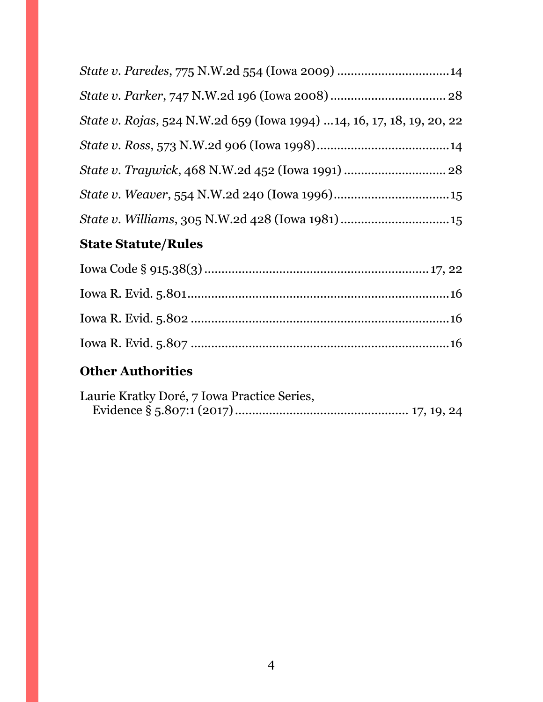<span id="page-3-0"></span>

| State v. Rojas, 524 N.W.2d 659 (Iowa 1994) 14, 16, 17, 18, 19, 20, 22 |  |
|-----------------------------------------------------------------------|--|
|                                                                       |  |
|                                                                       |  |
|                                                                       |  |
| State v. Williams, 305 N.W.2d 428 (Iowa 1981) 15                      |  |

# **State Statute/Rules**

# **Other Authorities**

| Laurie Kratky Doré, 7 Iowa Practice Series, |  |  |
|---------------------------------------------|--|--|
|                                             |  |  |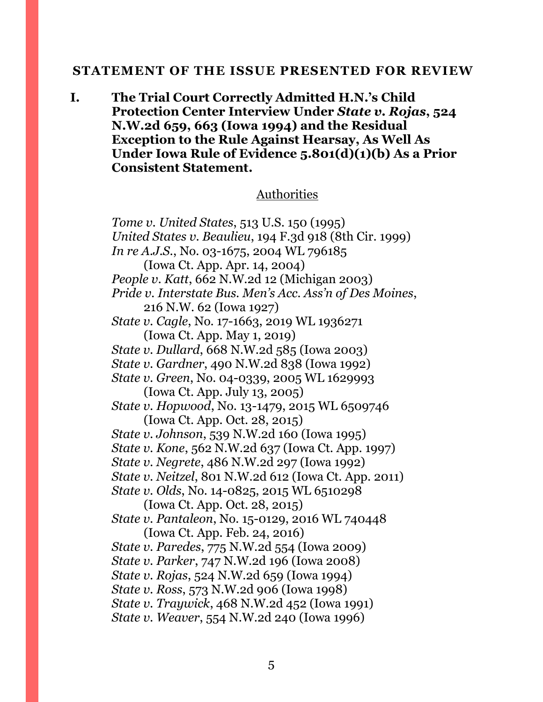#### **STATEMENT OF THE ISSUE PRESENTED FOR REVIEW**

**I. The Trial Court Correctly Admitted H.N.'s Child Protection Center Interview Under** *State v. Rojas***, 524 N.W.2d 659, 663 (Iowa 1994) and the Residual Exception to the Rule Against Hearsay, As Well As Under Iowa Rule of Evidence 5.801(d)(1)(b) As a Prior Consistent Statement.**

#### Authorities

*Tome v. United States*, 513 U.S. 150 (1995) *United States v. Beaulieu*, 194 F.3d 918 (8th Cir. 1999) *In re A.J.S.*, No. 03-1675, 2004 WL 796185 (Iowa Ct. App. Apr. 14, 2004) *People v. Katt*, 662 N.W.2d 12 (Michigan 2003) *Pride v. Interstate Bus. Men's Acc. Ass'n of Des Moines*, 216 N.W. 62 (Iowa 1927) *State v. Cagle*, No. 17-1663, 2019 WL 1936271 (Iowa Ct. App. May 1, 2019) *State v. Dullard*, 668 N.W.2d 585 (Iowa 2003) *State v. Gardner*, 490 N.W.2d 838 (Iowa 1992) *State v. Green*, No. 04-0339, 2005 WL 1629993 (Iowa Ct. App. July 13, 2005) *State v. Hopwood*, No. 13-1479, 2015 WL 6509746 (Iowa Ct. App. Oct. 28, 2015) *State v. Johnson*, 539 N.W.2d 160 (Iowa 1995) *State v. Kone*, 562 N.W.2d 637 (Iowa Ct. App. 1997) *State v. Negrete*, 486 N.W.2d 297 (Iowa 1992) *State v. Neitzel*, 801 N.W.2d 612 (Iowa Ct. App. 2011) *State v. Olds*, No. 14-0825, 2015 WL 6510298 (Iowa Ct. App. Oct. 28, 2015) *State v. Pantaleon*, No. 15-0129, 2016 WL 740448 (Iowa Ct. App. Feb. 24, 2016) *State v. Paredes*, 775 N.W.2d 554 (Iowa 2009) *State v. Parker*, 747 N.W.2d 196 (Iowa 2008) *State v. Rojas*, 524 N.W.2d 659 (Iowa 1994) *State v. Ross*, 573 N.W.2d 906 (Iowa 1998) *State v. Traywick*, 468 N.W.2d 452 (Iowa 1991) *State v. Weaver*, 554 N.W.2d 240 (Iowa 1996)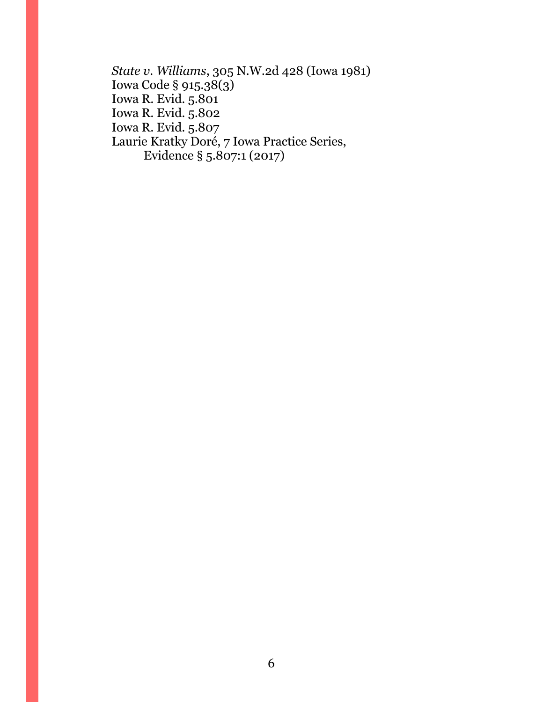*State v. Williams*, 305 N.W.2d 428 (Iowa 1981) Iowa Code § 915.38(3) Iowa R. Evid. 5.801 Iowa R. Evid. 5.802 Iowa R. Evid. 5.807 Laurie Kratky Doré, 7 Iowa Practice Series, Evidence § 5.807:1 (2017)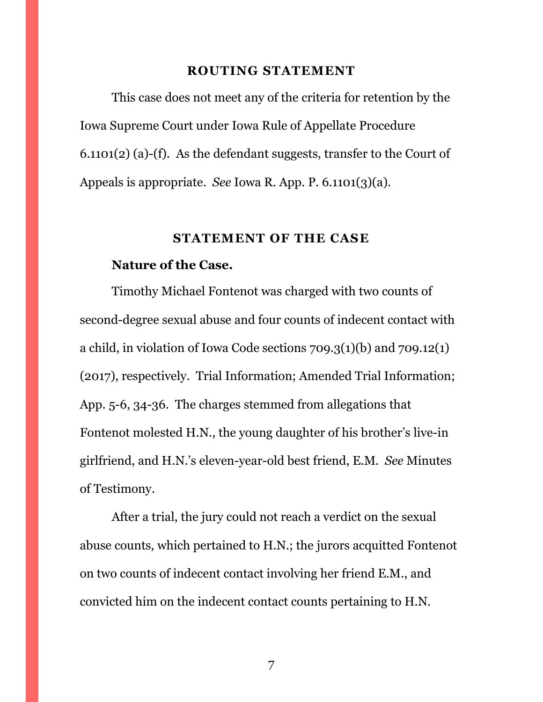#### **ROUTING STATEMENT**

<span id="page-6-0"></span>This case does not meet any of the criteria for retention by the Iowa Supreme Court under Iowa Rule of Appellate Procedure 6.1101(2) (a)-(f). As the defendant suggests, transfer to the Court of Appeals is appropriate. *See* Iowa R. App. P. 6.1101(3)(a).

#### **STATEMENT OF THE CASE**

#### <span id="page-6-1"></span>**Nature of the Case.**

Timothy Michael Fontenot was charged with two counts of second-degree sexual abuse and four counts of indecent contact with a child, in violation of Iowa Code sections 709.3(1)(b) and 709.12(1) (2017), respectively. Trial Information; Amended Trial Information; App. 5-6, 34-36. The charges stemmed from allegations that Fontenot molested H.N., the young daughter of his brother's live-in girlfriend, and H.N.'s eleven-year-old best friend, E.M. *See* Minutes of Testimony.

After a trial, the jury could not reach a verdict on the sexual abuse counts, which pertained to H.N.; the jurors acquitted Fontenot on two counts of indecent contact involving her friend E.M., and convicted him on the indecent contact counts pertaining to H.N.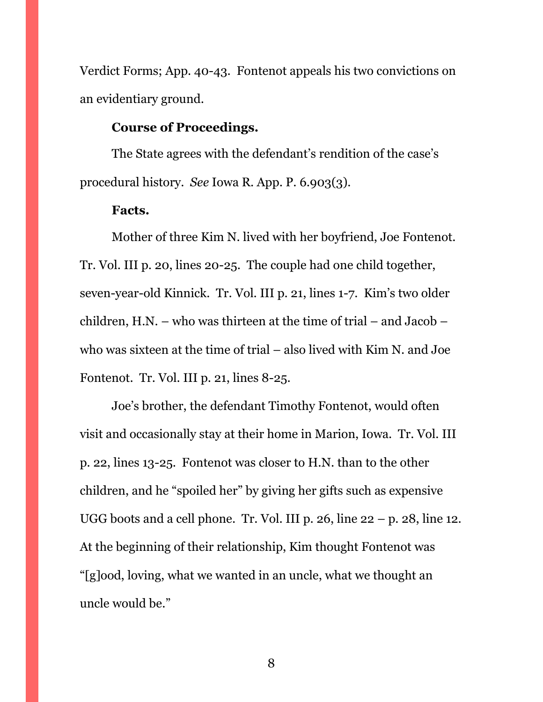Verdict Forms; App. 40-43. Fontenot appeals his two convictions on an evidentiary ground.

### **Course of Proceedings.**

The State agrees with the defendant's rendition of the case's procedural history. *See* Iowa R. App. P. 6.903(3).

### **Facts.**

Mother of three Kim N. lived with her boyfriend, Joe Fontenot. Tr. Vol. III p. 20, lines 20-25. The couple had one child together, seven-year-old Kinnick. Tr. Vol. III p. 21, lines 1-7. Kim's two older children, H.N. – who was thirteen at the time of trial – and Jacob – who was sixteen at the time of trial – also lived with Kim N. and Joe Fontenot. Tr. Vol. III p. 21, lines 8-25.

Joe's brother, the defendant Timothy Fontenot, would often visit and occasionally stay at their home in Marion, Iowa. Tr. Vol. III p. 22, lines 13-25. Fontenot was closer to H.N. than to the other children, and he "spoiled her" by giving her gifts such as expensive UGG boots and a cell phone. Tr. Vol. III p. 26, line  $22 - p$ . 28, line 12. At the beginning of their relationship, Kim thought Fontenot was "[g]ood, loving, what we wanted in an uncle, what we thought an uncle would be."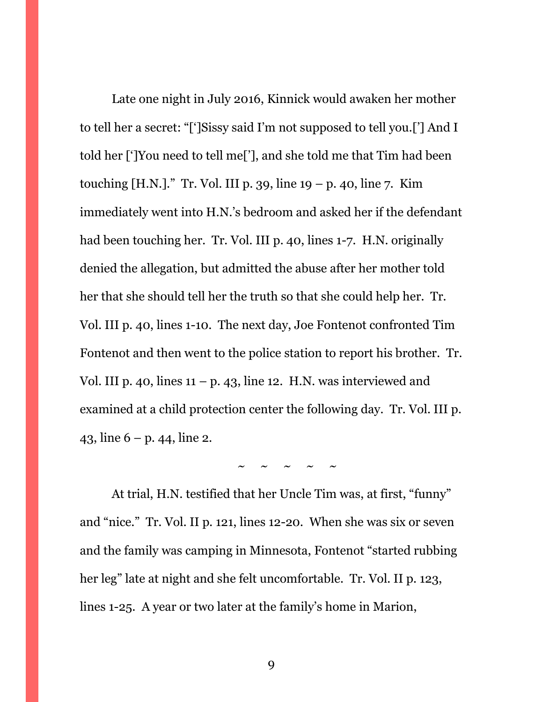Late one night in July 2016, Kinnick would awaken her mother to tell her a secret: "[']Sissy said I'm not supposed to tell you.['] And I told her [']You need to tell me['], and she told me that Tim had been touching [H.N.]." Tr. Vol. III p. 39, line  $19 - p$ . 40, line 7. Kim immediately went into H.N.'s bedroom and asked her if the defendant had been touching her. Tr. Vol. III p. 40, lines 1-7. H.N. originally denied the allegation, but admitted the abuse after her mother told her that she should tell her the truth so that she could help her. Tr. Vol. III p. 40, lines 1-10. The next day, Joe Fontenot confronted Tim Fontenot and then went to the police station to report his brother. Tr. Vol. III p. 40, lines  $11 - p$ . 43, line 12. H.N. was interviewed and examined at a child protection center the following day. Tr. Vol. III p. 43, line 6 – p. 44, line 2.

 $\sim$   $\sim$   $\sim$   $\sim$   $\sim$ 

At trial, H.N. testified that her Uncle Tim was, at first, "funny" and "nice." Tr. Vol. II p. 121, lines 12-20. When she was six or seven and the family was camping in Minnesota, Fontenot "started rubbing her leg" late at night and she felt uncomfortable. Tr. Vol. II p. 123, lines 1-25. A year or two later at the family's home in Marion,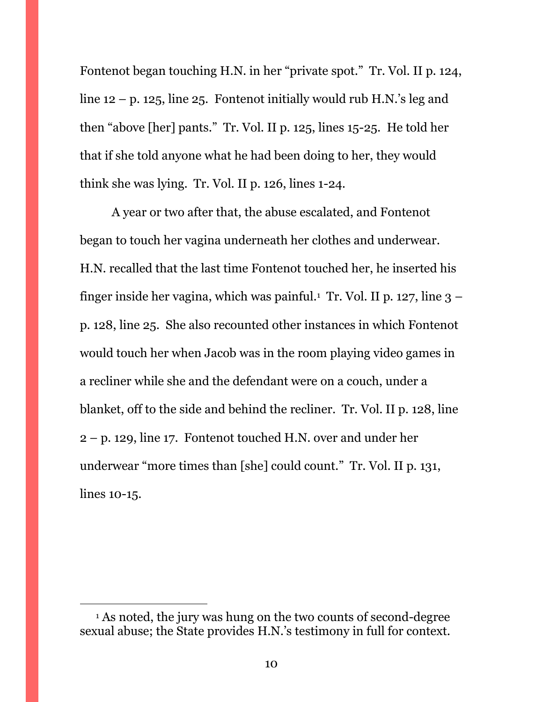Fontenot began touching H.N. in her "private spot." Tr. Vol. II p. 124, line  $12 - p$ . 125, line 25. Fontenot initially would rub H.N.'s leg and then "above [her] pants." Tr. Vol. II p. 125, lines 15-25. He told her that if she told anyone what he had been doing to her, they would think she was lying. Tr. Vol. II p. 126, lines 1-24.

A year or two after that, the abuse escalated, and Fontenot began to touch her vagina underneath her clothes and underwear. H.N. recalled that the last time Fontenot touched her, he inserted his finger inside her vagina, which was painful.<sup>1</sup> Tr. Vol. II p. 127, line 3 – p. 128, line 25. She also recounted other instances in which Fontenot would touch her when Jacob was in the room playing video games in a recliner while she and the defendant were on a couch, under a blanket, off to the side and behind the recliner. Tr. Vol. II p. 128, line 2 – p. 129, line 17. Fontenot touched H.N. over and under her underwear "more times than [she] could count." Tr. Vol. II p. 131, lines 10-15.

 $\overline{a}$ 

<sup>1</sup> As noted, the jury was hung on the two counts of second-degree sexual abuse; the State provides H.N.'s testimony in full for context.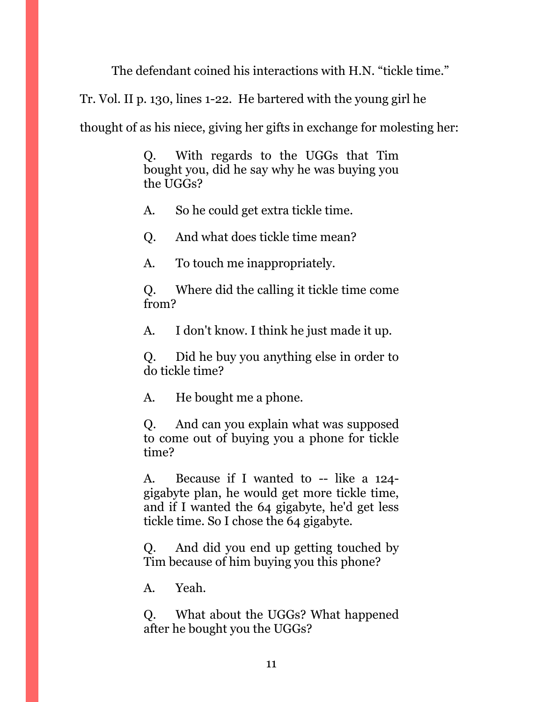The defendant coined his interactions with H.N. "tickle time."

Tr. Vol. II p. 130, lines 1-22. He bartered with the young girl he

thought of as his niece, giving her gifts in exchange for molesting her:

Q. With regards to the UGGs that Tim bought you, did he say why he was buying you the UGGs?

A. So he could get extra tickle time.

Q. And what does tickle time mean?

A. To touch me inappropriately.

Q. Where did the calling it tickle time come from?

A. I don't know. I think he just made it up.

Q. Did he buy you anything else in order to do tickle time?

A. He bought me a phone.

Q. And can you explain what was supposed to come out of buying you a phone for tickle time?

A. Because if I wanted to -- like a 124 gigabyte plan, he would get more tickle time, and if I wanted the 64 gigabyte, he'd get less tickle time. So I chose the 64 gigabyte.

Q. And did you end up getting touched by Tim because of him buying you this phone?

A. Yeah.

Q. What about the UGGs? What happened after he bought you the UGGs?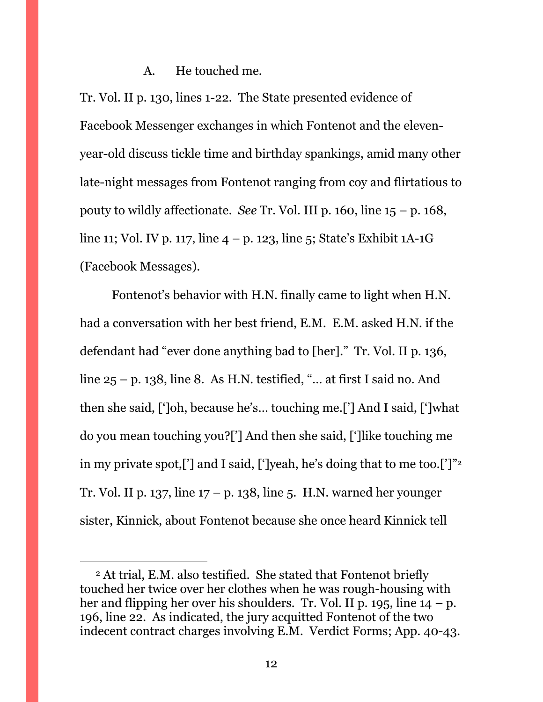#### A. He touched me.

Tr. Vol. II p. 130, lines 1-22. The State presented evidence of Facebook Messenger exchanges in which Fontenot and the elevenyear-old discuss tickle time and birthday spankings, amid many other late-night messages from Fontenot ranging from coy and flirtatious to pouty to wildly affectionate. *See* Tr. Vol. III p. 160, line  $15 - p$ . 168, line 11; Vol. IV p. 117, line  $4 - p$ . 123, line 5; State's Exhibit 1A-1G (Facebook Messages).

Fontenot's behavior with H.N. finally came to light when H.N. had a conversation with her best friend, E.M. E.M. asked H.N. if the defendant had "ever done anything bad to [her]." Tr. Vol. II p. 136, line  $25 - p$ . 138, line 8. As H.N. testified, "... at first I said no. And then she said, [']oh, because he's… touching me.['] And I said, [']what do you mean touching you?['] And then she said, [']like touching me in my private spot,['] and I said, [']yeah, he's doing that to me too.[']" 2 Tr. Vol. II p. 137, line 17 – p. 138, line 5. H.N. warned her younger sister, Kinnick, about Fontenot because she once heard Kinnick tell

 $\overline{a}$ 

<sup>2</sup> At trial, E.M. also testified. She stated that Fontenot briefly touched her twice over her clothes when he was rough-housing with her and flipping her over his shoulders. Tr. Vol. II p. 195, line  $14 - p$ . 196, line 22. As indicated, the jury acquitted Fontenot of the two indecent contract charges involving E.M. Verdict Forms; App. 40-43.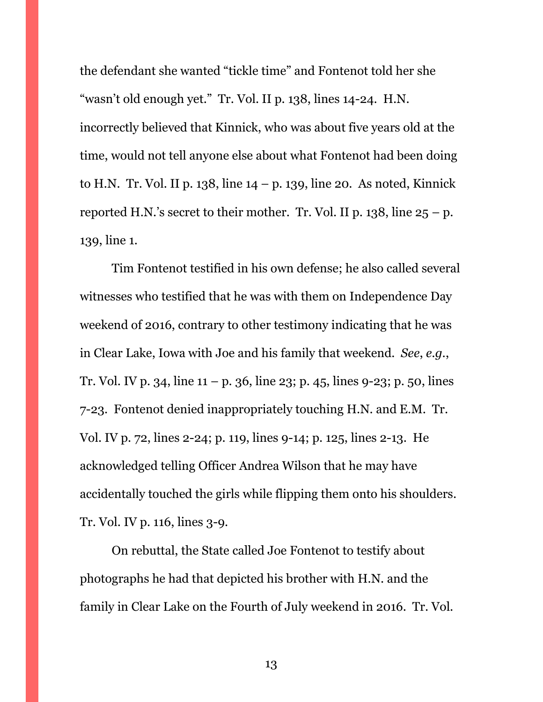the defendant she wanted "tickle time" and Fontenot told her she "wasn't old enough yet." Tr. Vol. II p. 138, lines 14-24. H.N. incorrectly believed that Kinnick, who was about five years old at the time, would not tell anyone else about what Fontenot had been doing to H.N. Tr. Vol. II p. 138, line  $14 - p$ . 139, line 20. As noted, Kinnick reported H.N.'s secret to their mother. Tr. Vol. II p. 138, line  $25 - p$ . 139, line 1.

Tim Fontenot testified in his own defense; he also called several witnesses who testified that he was with them on Independence Day weekend of 2016, contrary to other testimony indicating that he was in Clear Lake, Iowa with Joe and his family that weekend. *See*, *e.g.*, Tr. Vol. IV p. 34, line  $11 - p$ . 36, line 23; p. 45, lines 9-23; p. 50, lines 7-23. Fontenot denied inappropriately touching H.N. and E.M. Tr. Vol. IV p. 72, lines 2-24; p. 119, lines 9-14; p. 125, lines 2-13. He acknowledged telling Officer Andrea Wilson that he may have accidentally touched the girls while flipping them onto his shoulders. Tr. Vol. IV p. 116, lines 3-9.

On rebuttal, the State called Joe Fontenot to testify about photographs he had that depicted his brother with H.N. and the family in Clear Lake on the Fourth of July weekend in 2016. Tr. Vol.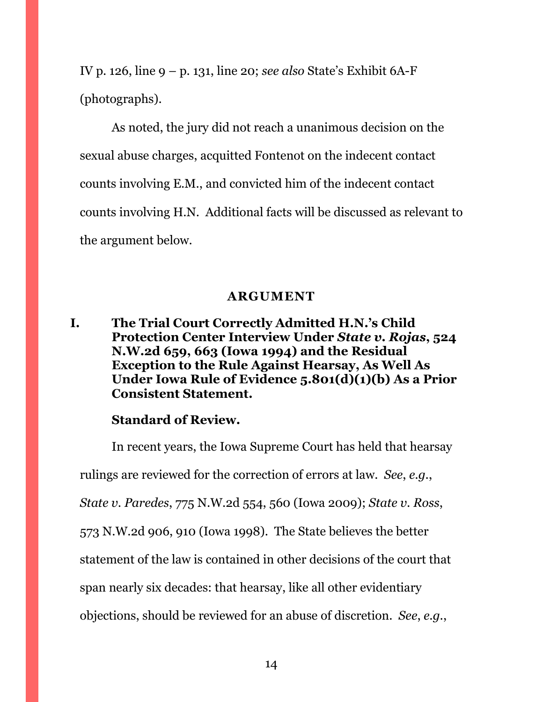IV p. 126, line 9 – p. 131, line 20; *see also* State's Exhibit 6A-F (photographs).

As noted, the jury did not reach a unanimous decision on the sexual abuse charges, acquitted Fontenot on the indecent contact counts involving E.M., and convicted him of the indecent contact counts involving H.N. Additional facts will be discussed as relevant to the argument below.

## **ARGUMENT**

<span id="page-13-1"></span><span id="page-13-0"></span>**I. The Trial Court Correctly Admitted H.N.'s Child Protection Center Interview Under** *State v. Rojas***, 524 N.W.2d 659, 663 (Iowa 1994) and the Residual Exception to the Rule Against Hearsay, As Well As Under Iowa Rule of Evidence 5.801(d)(1)(b) As a Prior Consistent Statement.**

## **Standard of Review.**

In recent years, the Iowa Supreme Court has held that hearsay rulings are reviewed for the correction of errors at law. *See*, *e.g.*, *State v. Paredes*, 775 N.W.2d 554, 560 (Iowa 2009); *State v. Ross*, 573 N.W.2d 906, 910 (Iowa 1998). The State believes the better statement of the law is contained in other decisions of the court that span nearly six decades: that hearsay, like all other evidentiary objections, should be reviewed for an abuse of discretion. *See*, *e.g.*,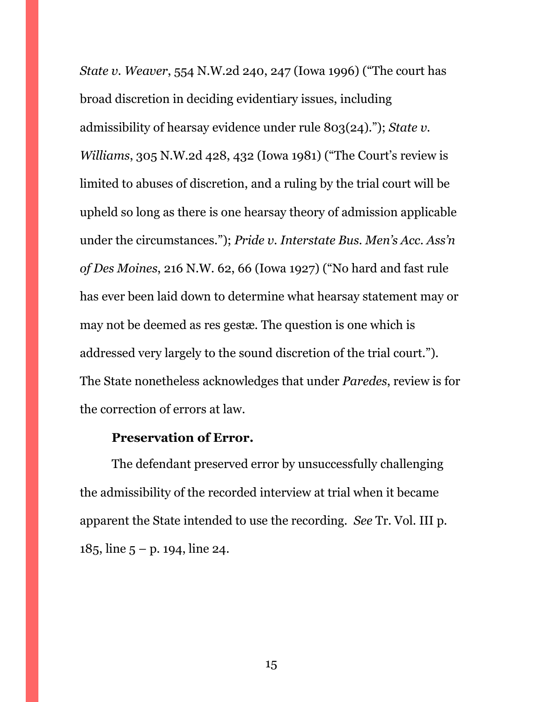*State v. Weaver*, 554 N.W.2d 240, 247 (Iowa 1996) ("The court has broad discretion in deciding evidentiary issues, including admissibility of hearsay evidence under rule 803(24)."); *State v. Williams*, 305 N.W.2d 428, 432 (Iowa 1981) ("The Court's review is limited to abuses of discretion, and a ruling by the trial court will be upheld so long as there is one hearsay theory of admission applicable under the circumstances."); *Pride v. Interstate Bus. Men's Acc. Ass'n of Des Moines*, 216 N.W. 62, 66 (Iowa 1927) ("No hard and fast rule has ever been laid down to determine what hearsay statement may or may not be deemed as res gestæ. The question is one which is addressed very largely to the sound discretion of the trial court."). The State nonetheless acknowledges that under *Paredes*, review is for the correction of errors at law.

## **Preservation of Error.**

The defendant preserved error by unsuccessfully challenging the admissibility of the recorded interview at trial when it became apparent the State intended to use the recording. *See* Tr. Vol. III p. 185, line  $5 - p$ . 194, line 24.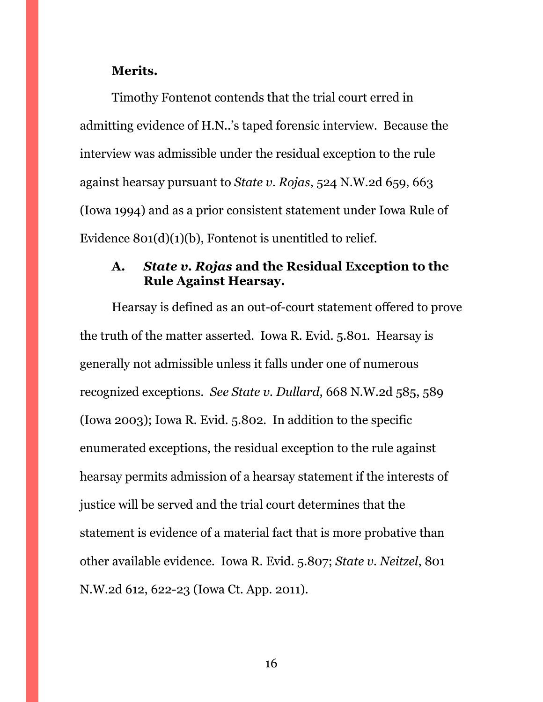#### **Merits.**

Timothy Fontenot contends that the trial court erred in admitting evidence of H.N..'s taped forensic interview. Because the interview was admissible under the residual exception to the rule against hearsay pursuant to *State v. Rojas*, 524 N.W.2d 659, 663 (Iowa 1994) and as a prior consistent statement under Iowa Rule of Evidence 801(d)(1)(b), Fontenot is unentitled to relief.

## <span id="page-15-0"></span>**A.** *State v. Rojas* **and the Residual Exception to the Rule Against Hearsay.**

Hearsay is defined as an out-of-court statement offered to prove the truth of the matter asserted. Iowa R. Evid. 5.801. Hearsay is generally not admissible unless it falls under one of numerous recognized exceptions. *See State v. Dullard*, 668 N.W.2d 585, 589 (Iowa 2003); Iowa R. Evid. 5.802. In addition to the specific enumerated exceptions, the residual exception to the rule against hearsay permits admission of a hearsay statement if the interests of justice will be served and the trial court determines that the statement is evidence of a material fact that is more probative than other available evidence. Iowa R. Evid. 5.807; *State v. Neitzel*, 801 N.W.2d 612, 622-23 (Iowa Ct. App. 2011).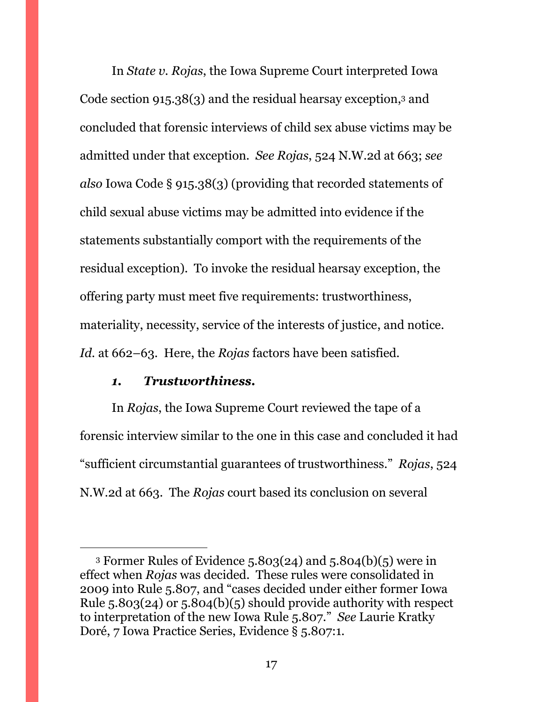In *State v. Rojas*, the Iowa Supreme Court interpreted Iowa Code section 915.38(3) and the residual hearsay exception,<sup>3</sup> and concluded that forensic interviews of child sex abuse victims may be admitted under that exception. *See Rojas*, 524 N.W.2d at 663; *see also* Iowa Code § 915.38(3) (providing that recorded statements of child sexual abuse victims may be admitted into evidence if the statements substantially comport with the requirements of the residual exception). To invoke the residual hearsay exception, the offering party must meet five requirements: trustworthiness, materiality, necessity, service of the interests of justice, and notice. *Id.* at 662–63. Here, the *Rojas* factors have been satisfied.

#### *1. Trustworthiness.*

 $\overline{a}$ 

<span id="page-16-0"></span>In *Rojas*, the Iowa Supreme Court reviewed the tape of a forensic interview similar to the one in this case and concluded it had "sufficient circumstantial guarantees of trustworthiness." *Rojas*, 524 N.W.2d at 663. The *Rojas* court based its conclusion on several

<sup>3</sup> Former Rules of Evidence 5.803(24) and 5.804(b)(5) were in effect when *Rojas* was decided. These rules were consolidated in 2009 into Rule 5.807, and "cases decided under either former Iowa Rule 5.803(24) or 5.804(b)(5) should provide authority with respect to interpretation of the new Iowa Rule 5.807." *See* Laurie Kratky Doré, 7 Iowa Practice Series, Evidence § 5.807:1.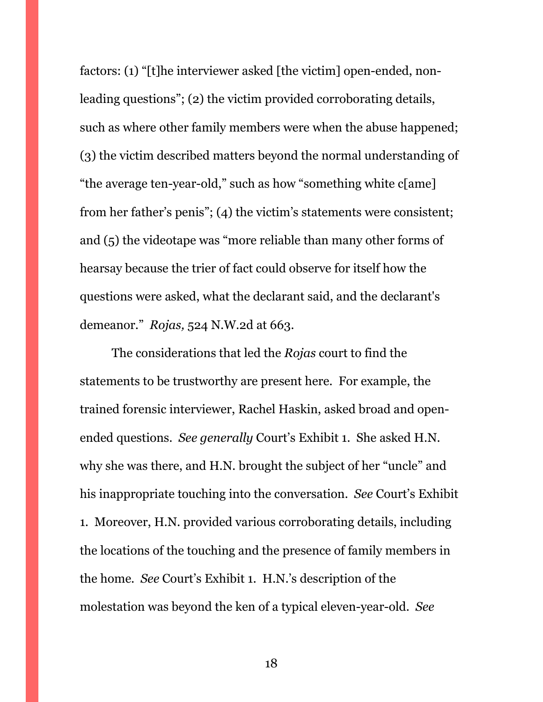factors: (1) "[t]he interviewer asked [the victim] open-ended, nonleading questions"; (2) the victim provided corroborating details, such as where other family members were when the abuse happened; (3) the victim described matters beyond the normal understanding of "the average ten-year-old," such as how "something white c[ame] from her father's penis"; (4) the victim's statements were consistent; and (5) the videotape was "more reliable than many other forms of hearsay because the trier of fact could observe for itself how the questions were asked, what the declarant said, and the declarant's demeanor." *Rojas,* 524 N.W.2d at 663.

The considerations that led the *Rojas* court to find the statements to be trustworthy are present here. For example, the trained forensic interviewer, Rachel Haskin, asked broad and openended questions. *See generally* Court's Exhibit 1. She asked H.N. why she was there, and H.N. brought the subject of her "uncle" and his inappropriate touching into the conversation. *See* Court's Exhibit 1. Moreover, H.N. provided various corroborating details, including the locations of the touching and the presence of family members in the home. *See* Court's Exhibit 1. H.N.'s description of the molestation was beyond the ken of a typical eleven-year-old. *See*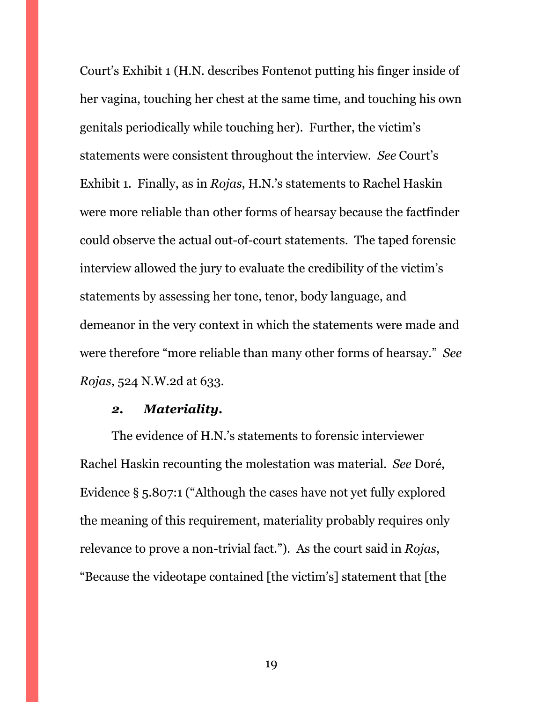Court's Exhibit 1 (H.N. describes Fontenot putting his finger inside of her vagina, touching her chest at the same time, and touching his own genitals periodically while touching her). Further, the victim's statements were consistent throughout the interview. *See* Court's Exhibit 1. Finally, as in *Rojas*, H.N.'s statements to Rachel Haskin were more reliable than other forms of hearsay because the factfinder could observe the actual out-of-court statements. The taped forensic interview allowed the jury to evaluate the credibility of the victim's statements by assessing her tone, tenor, body language, and demeanor in the very context in which the statements were made and were therefore "more reliable than many other forms of hearsay." *See Rojas*, 524 N.W. 2d at 633.

## *2. Materiality.*

<span id="page-18-0"></span>The evidence of H.N.'s statements to forensic interviewer Rachel Haskin recounting the molestation was material. *See* Doré, Evidence § 5.807:1 ("Although the cases have not yet fully explored the meaning of this requirement, materiality probably requires only relevance to prove a non-trivial fact."). As the court said in *Rojas*, "Because the videotape contained [the victim's] statement that [the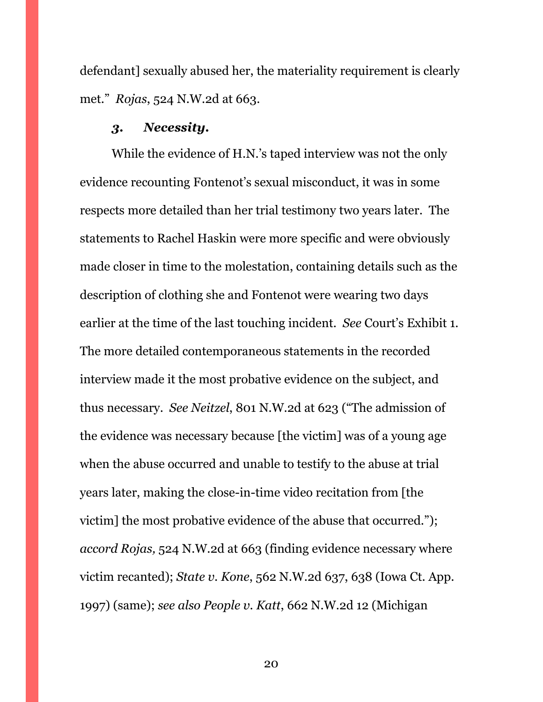defendant] sexually abused her, the materiality requirement is clearly met." *Rojas*, 524 N.W.2d at 663.

#### *3. Necessity.*

<span id="page-19-0"></span>While the evidence of H.N.'s taped interview was not the only evidence recounting Fontenot's sexual misconduct, it was in some respects more detailed than her trial testimony two years later. The statements to Rachel Haskin were more specific and were obviously made closer in time to the molestation, containing details such as the description of clothing she and Fontenot were wearing two days earlier at the time of the last touching incident. *See* Court's Exhibit 1. The more detailed contemporaneous statements in the recorded interview made it the most probative evidence on the subject, and thus necessary. *See Neitzel*, 801 N.W.2d at 623 ("The admission of the evidence was necessary because [the victim] was of a young age when the abuse occurred and unable to testify to the abuse at trial years later, making the close-in-time video recitation from [the victim] the most probative evidence of the abuse that occurred."); *accord Rojas,* 524 N.W.2d at 663 (finding evidence necessary where victim recanted); *State v. Kone*, 562 N.W.2d 637, 638 (Iowa Ct. App. 1997) (same); *see also People v. Katt*, 662 N.W.2d 12 (Michigan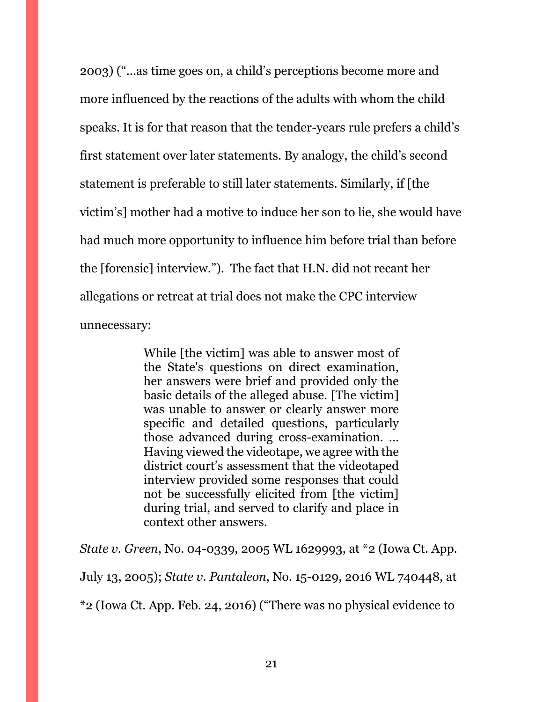2003) ("...as time goes on, a child's perceptions become more and more influenced by the reactions of the adults with whom the child speaks. It is for that reason that the tender-years rule prefers a child's first statement over later statements. By analogy, the child's second statement is preferable to still later statements. Similarly, if [the victim's] mother had a motive to induce her son to lie, she would have had much more opportunity to influence him before trial than before the [forensic] interview."). The fact that H.N. did not recant her allegations or retreat at trial does not make the CPC interview unnecessary:

> While [the victim] was able to answer most of the State's questions on direct examination, her answers were brief and provided only the basic details of the alleged abuse. [The victim] was unable to answer or clearly answer more specific and detailed questions, particularly those advanced during cross-examination. … Having viewed the videotape, we agree with the district court's assessment that the videotaped interview provided some responses that could not be successfully elicited from [the victim] during trial, and served to clarify and place in context other answers.

*State v. Green*, No. 04-0339, 2005 WL 1629993, at \*2 (Iowa Ct. App.

July 13, 2005); *State v. Pantaleon*, No. 15-0129, 2016 WL 740448, at

\*2 (Iowa Ct. App. Feb. 24, 2016) ("There was no physical evidence to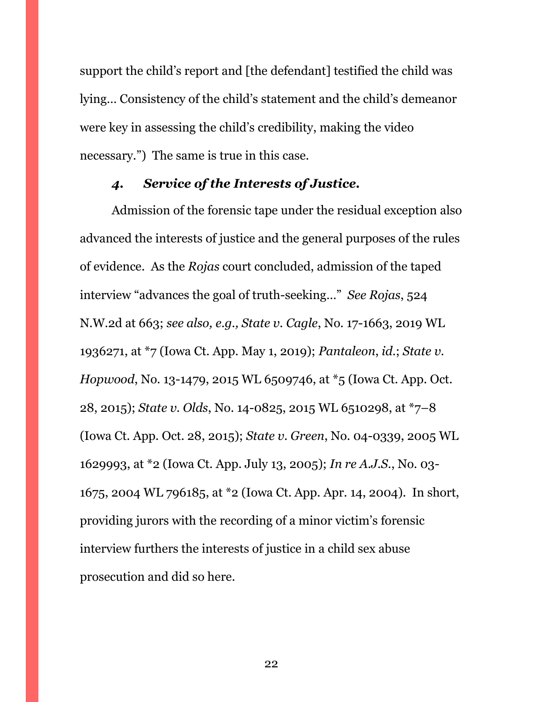support the child's report and [the defendant] testified the child was lying… Consistency of the child's statement and the child's demeanor were key in assessing the child's credibility, making the video necessary.") The same is true in this case.

## *4. Service of the Interests of Justice.*

<span id="page-21-0"></span>Admission of the forensic tape under the residual exception also advanced the interests of justice and the general purposes of the rules of evidence. As the *Rojas* court concluded, admission of the taped interview "advances the goal of truth-seeking…" *See Rojas*, 524 N.W.2d at 663; *see also, e.g., State v. Cagle*, No. 17-1663, 2019 WL 1936271, at \*7 (Iowa Ct. App. May 1, 2019); *Pantaleon*, *id.*; *State v. Hopwood*, No. 13-1479, 2015 WL 6509746, at \*5 (Iowa Ct. App. Oct. 28, 2015); *State v. Olds*, No. 14-0825, 2015 WL 6510298, at \*7–8 (Iowa Ct. App. Oct. 28, 2015); *State v. Green*, No. 04-0339, 2005 WL 1629993, at \*2 (Iowa Ct. App. July 13, 2005); *In re A.J.S.*, No. 03- 1675, 2004 WL 796185, at \*2 (Iowa Ct. App. Apr. 14, 2004). In short, providing jurors with the recording of a minor victim's forensic interview furthers the interests of justice in a child sex abuse prosecution and did so here.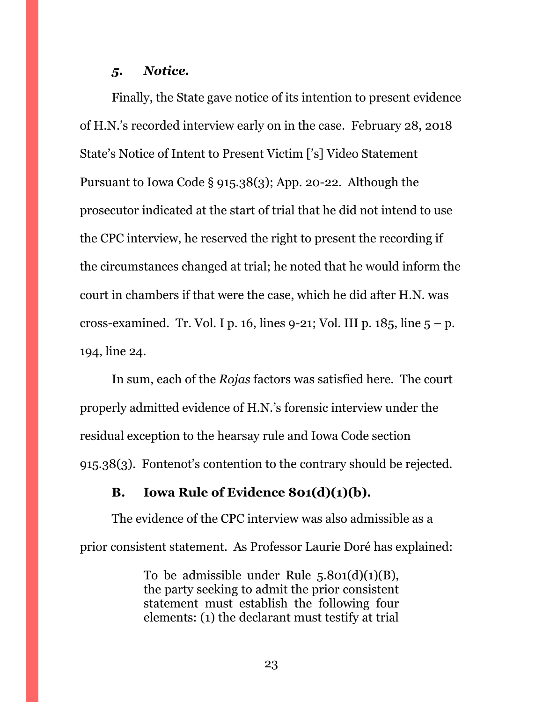#### *5. Notice.*

<span id="page-22-0"></span>Finally, the State gave notice of its intention to present evidence of H.N.'s recorded interview early on in the case. February 28, 2018 State's Notice of Intent to Present Victim ['s] Video Statement Pursuant to Iowa Code § 915.38(3); App. 20-22. Although the prosecutor indicated at the start of trial that he did not intend to use the CPC interview, he reserved the right to present the recording if the circumstances changed at trial; he noted that he would inform the court in chambers if that were the case, which he did after H.N. was cross-examined. Tr. Vol. I p. 16, lines  $9-21$ ; Vol. III p. 185, line  $5 - p$ . 194, line 24.

In sum, each of the *Rojas* factors was satisfied here. The court properly admitted evidence of H.N.'s forensic interview under the residual exception to the hearsay rule and Iowa Code section 915.38(3). Fontenot's contention to the contrary should be rejected.

#### <span id="page-22-1"></span>**B. Iowa Rule of Evidence 801(d)(1)(b).**

The evidence of the CPC interview was also admissible as a prior consistent statement. As Professor Laurie Doré has explained:

> To be admissible under Rule  $5.801(d)(1)(B)$ , the party seeking to admit the prior consistent statement must establish the following four elements: (1) the declarant must testify at trial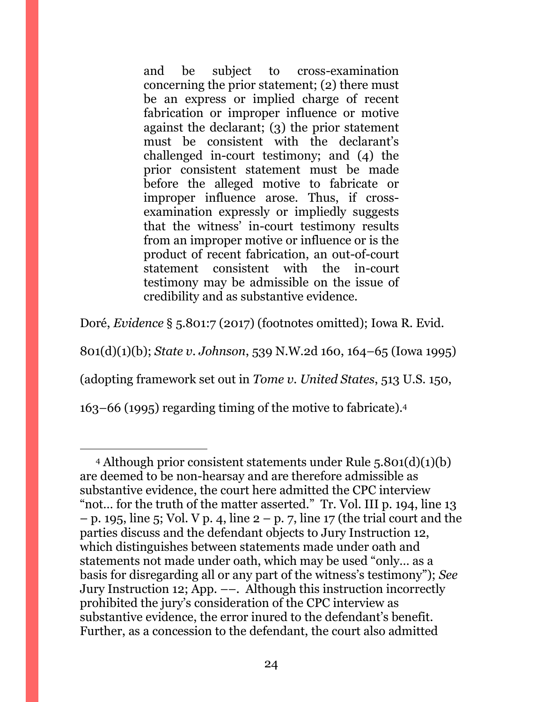and be subject to cross-examination concerning the prior statement; (2) there must be an express or implied charge of recent fabrication or improper influence or motive against the declarant; (3) the prior statement must be consistent with the declarant's challenged in-court testimony; and (4) the prior consistent statement must be made before the alleged motive to fabricate or improper influence arose. Thus, if crossexamination expressly or impliedly suggests that the witness' in-court testimony results from an improper motive or influence or is the product of recent fabrication, an out-of-court statement consistent with the in-court testimony may be admissible on the issue of credibility and as substantive evidence.

Doré, *Evidence* § 5.801:7 (2017) (footnotes omitted); Iowa R. Evid.

801(d)(1)(b); *State v. Johnson*, 539 N.W.2d 160, 164–65 (Iowa 1995)

(adopting framework set out in *Tome v. United States*, 513 U.S. 150,

163–66 (1995) regarding timing of the motive to fabricate).<sup>4</sup>

 $\overline{a}$ <sup>4</sup> Although prior consistent statements under Rule 5.801(d)(1)(b) are deemed to be non-hearsay and are therefore admissible as substantive evidence, the court here admitted the CPC interview "not… for the truth of the matter asserted." Tr. Vol. III p. 194, line 13 – p. 195, line 5; Vol. V p. 4, line  $2 - p$ , 7, line 17 (the trial court and the parties discuss and the defendant objects to Jury Instruction 12, which distinguishes between statements made under oath and statements not made under oath, which may be used "only… as a basis for disregarding all or any part of the witness's testimony"); *See*  Jury Instruction 12; App. ––. Although this instruction incorrectly prohibited the jury's consideration of the CPC interview as substantive evidence, the error inured to the defendant's benefit. Further, as a concession to the defendant, the court also admitted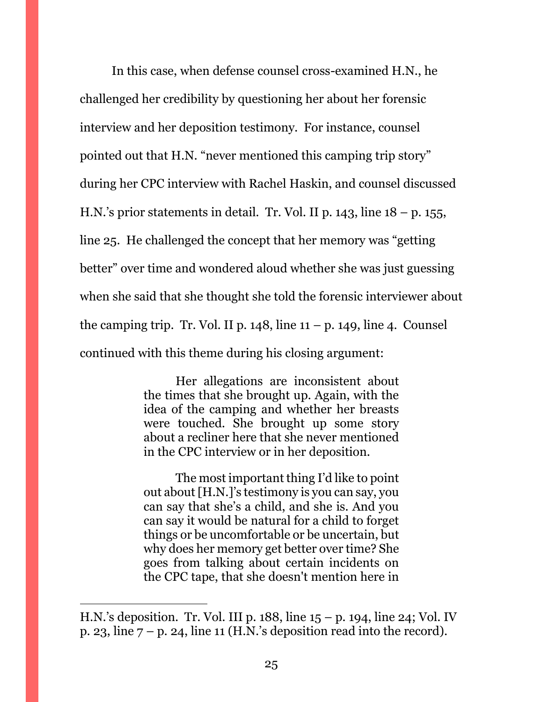In this case, when defense counsel cross-examined H.N., he challenged her credibility by questioning her about her forensic interview and her deposition testimony. For instance, counsel pointed out that H.N. "never mentioned this camping trip story" during her CPC interview with Rachel Haskin, and counsel discussed H.N.'s prior statements in detail. Tr. Vol. II p.  $143$ , line  $18 - p$ .  $155$ , line 25. He challenged the concept that her memory was "getting better" over time and wondered aloud whether she was just guessing when she said that she thought she told the forensic interviewer about the camping trip. Tr. Vol. II p.  $148$ , line  $11 - p$ .  $149$ , line 4. Counsel continued with this theme during his closing argument:

> Her allegations are inconsistent about the times that she brought up. Again, with the idea of the camping and whether her breasts were touched. She brought up some story about a recliner here that she never mentioned in the CPC interview or in her deposition.

> The most important thing I'd like to point out about [H.N.]'s testimony is you can say, you can say that she's a child, and she is. And you can say it would be natural for a child to forget things or be uncomfortable or be uncertain, but why does her memory get better over time? She goes from talking about certain incidents on the CPC tape, that she doesn't mention here in

 $\overline{a}$ 

H.N.'s deposition. Tr. Vol. III p. 188, line 15 – p. 194, line 24; Vol. IV p. 23, line  $7 - p$ . 24, line 11 (H.N.'s deposition read into the record).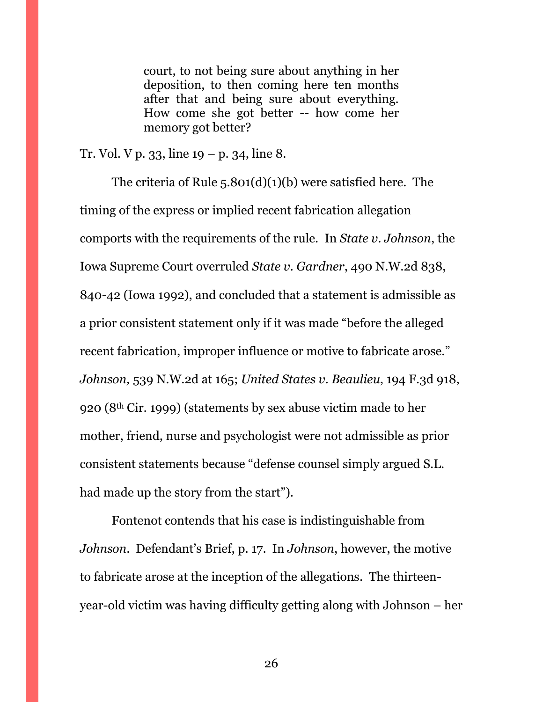court, to not being sure about anything in her deposition, to then coming here ten months after that and being sure about everything. How come she got better -- how come her memory got better?

Tr. Vol. V p. 33, line  $19 - p$ . 34, line 8.

The criteria of Rule 5.801(d)(1)(b) were satisfied here. The timing of the express or implied recent fabrication allegation comports with the requirements of the rule. In *State v. Johnson*, the Iowa Supreme Court overruled *State v. Gardner*, 490 N.W.2d 838, 840-42 (Iowa 1992), and concluded that a statement is admissible as a prior consistent statement only if it was made "before the alleged recent fabrication, improper influence or motive to fabricate arose." *Johnson,* 539 N.W.2d at 165; *United States v. Beaulieu*, 194 F.3d 918, 920 (8th Cir. 1999) (statements by sex abuse victim made to her mother, friend, nurse and psychologist were not admissible as prior consistent statements because "defense counsel simply argued S.L. had made up the story from the start").

Fontenot contends that his case is indistinguishable from *Johnson*. Defendant's Brief, p. 17. In *Johnson*, however, the motive to fabricate arose at the inception of the allegations. The thirteenyear-old victim was having difficulty getting along with Johnson – her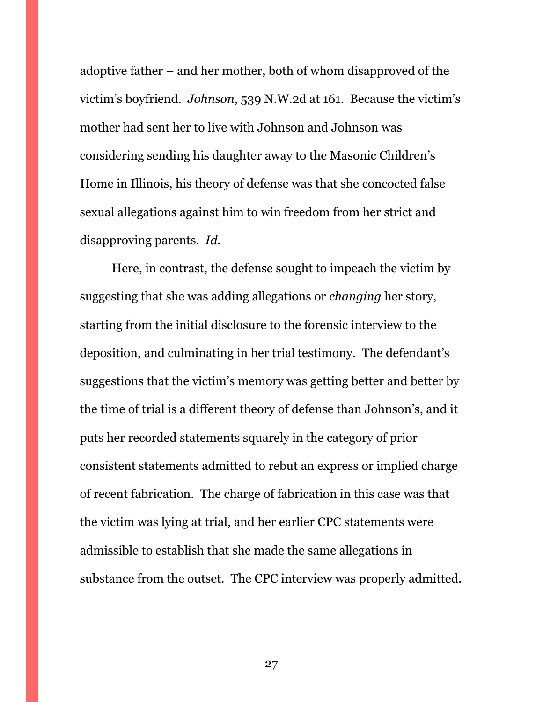adoptive father – and her mother, both of whom disapproved of the victim's boyfriend. *Johnson*, 539 N.W.2d at 161. Because the victim's mother had sent her to live with Johnson and Johnson was considering sending his daughter away to the Masonic Children's Home in Illinois, his theory of defense was that she concocted false sexual allegations against him to win freedom from her strict and disapproving parents. *Id.*

Here, in contrast, the defense sought to impeach the victim by suggesting that she was adding allegations or *changing* her story, starting from the initial disclosure to the forensic interview to the deposition, and culminating in her trial testimony. The defendant's suggestions that the victim's memory was getting better and better by the time of trial is a different theory of defense than Johnson's, and it puts her recorded statements squarely in the category of prior consistent statements admitted to rebut an express or implied charge of recent fabrication. The charge of fabrication in this case was that the victim was lying at trial, and her earlier CPC statements were admissible to establish that she made the same allegations in substance from the outset. The CPC interview was properly admitted.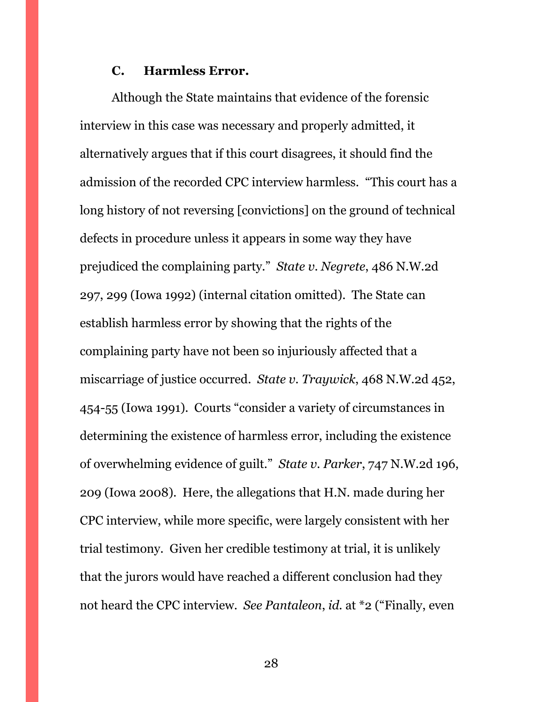#### **C. Harmless Error.**

<span id="page-27-0"></span>Although the State maintains that evidence of the forensic interview in this case was necessary and properly admitted, it alternatively argues that if this court disagrees, it should find the admission of the recorded CPC interview harmless. "This court has a long history of not reversing [convictions] on the ground of technical defects in procedure unless it appears in some way they have prejudiced the complaining party." *State v. Negrete*, 486 N.W.2d 297, 299 (Iowa 1992) (internal citation omitted). The State can establish harmless error by showing that the rights of the complaining party have not been so injuriously affected that a miscarriage of justice occurred. *State v. Traywick*, 468 N.W.2d 452, 454-55 (Iowa 1991). Courts "consider a variety of circumstances in determining the existence of harmless error, including the existence of overwhelming evidence of guilt." *State v. Parker*, 747 N.W.2d 196, 209 (Iowa 2008). Here, the allegations that H.N. made during her CPC interview, while more specific, were largely consistent with her trial testimony. Given her credible testimony at trial, it is unlikely that the jurors would have reached a different conclusion had they not heard the CPC interview. *See Pantaleon*, *id.* at \*2 ("Finally, even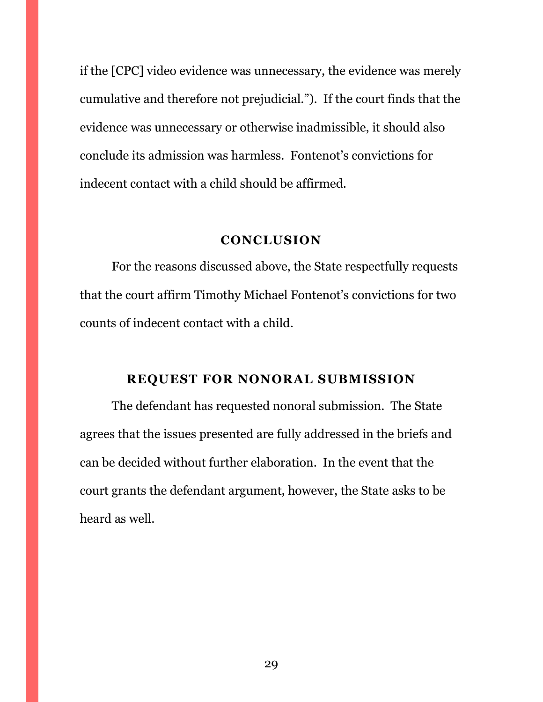if the [CPC] video evidence was unnecessary, the evidence was merely cumulative and therefore not prejudicial."). If the court finds that the evidence was unnecessary or otherwise inadmissible, it should also conclude its admission was harmless. Fontenot's convictions for indecent contact with a child should be affirmed.

### **CONCLUSION**

<span id="page-28-0"></span>For the reasons discussed above, the State respectfully requests that the court affirm Timothy Michael Fontenot's convictions for two counts of indecent contact with a child.

## **REQUEST FOR NONORAL SUBMISSION**

<span id="page-28-1"></span>The defendant has requested nonoral submission. The State agrees that the issues presented are fully addressed in the briefs and can be decided without further elaboration. In the event that the court grants the defendant argument, however, the State asks to be heard as well.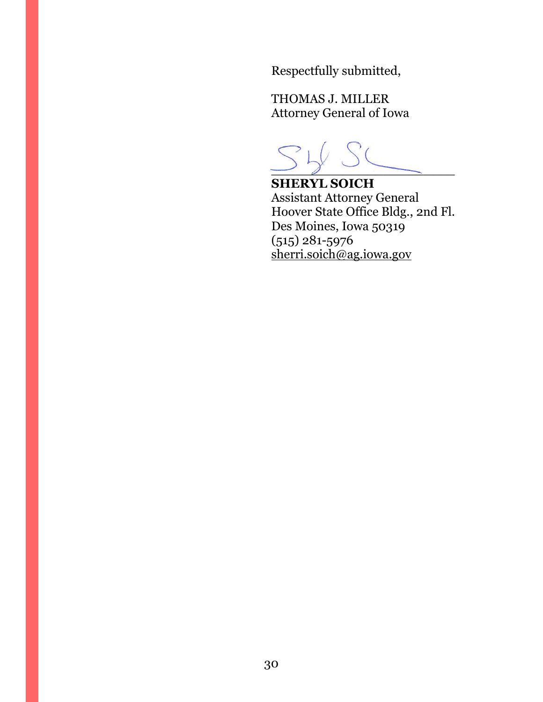Respectfully submitted,

THOMAS J. MILLER Attorney General of Iowa

 $\frac{\ }{\sqrt{2}}$ 

**SHERYL SOICH** Assistant Attorney General Hoover State Office Bldg., 2nd Fl. Des Moines, Iowa 50319 (515) 281-5976 [sherri.soich@ag.iowa.gov](mailto:sherri.soich@ag.iowa.gov)